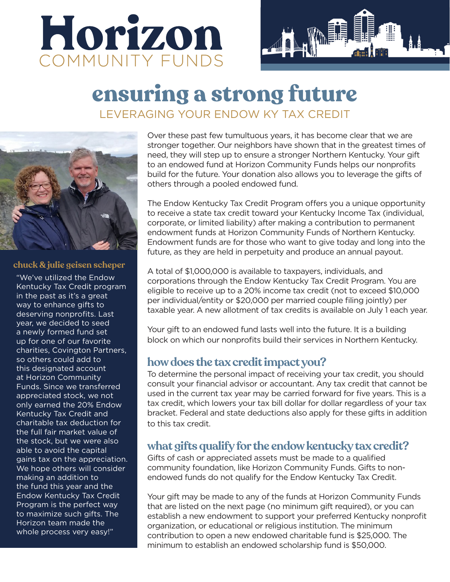



# **ensuring a strong future** LEVERAGING YOUR ENDOW KY TAX CREDIT



#### **chuck & julie geisen scheper**

"We've utilized the Endow Kentucky Tax Credit program in the past as it's a great way to enhance gifts to deserving nonprofits. Last year, we decided to seed a newly formed fund set up for one of our favorite charities, Covington Partners, so others could add to this designated account at Horizon Community Funds. Since we transferred appreciated stock, we not only earned the 20% Endow Kentucky Tax Credit and charitable tax deduction for the full fair market value of the stock, but we were also able to avoid the capital gains tax on the appreciation. We hope others will consider making an addition to the fund this year and the Endow Kentucky Tax Credit Program is the perfect way to maximize such gifts. The Horizon team made the whole process very easy!"

Over these past few tumultuous years, it has become clear that we are stronger together. Our neighbors have shown that in the greatest times of need, they will step up to ensure a stronger Northern Kentucky. Your gift to an endowed fund at Horizon Community Funds helps our nonprofits build for the future. Your donation also allows you to leverage the gifts of others through a pooled endowed fund.

The Endow Kentucky Tax Credit Program offers you a unique opportunity to receive a state tax credit toward your Kentucky Income Tax (individual, corporate, or limited liability) after making a contribution to permanent endowment funds at Horizon Community Funds of Northern Kentucky. Endowment funds are for those who want to give today and long into the future, as they are held in perpetuity and produce an annual payout.

A total of \$1,000,000 is available to taxpayers, individuals, and corporations through the Endow Kentucky Tax Credit Program. You are eligible to receive up to a 20% income tax credit (not to exceed \$10,000 per individual/entity or \$20,000 per married couple filing jointly) per taxable year. A new allotment of tax credits is available on July 1 each year.

Your gift to an endowed fund lasts well into the future. It is a building block on which our nonprofits build their services in Northern Kentucky.

### **how does the tax credit impact you?**

To determine the personal impact of receiving your tax credit, you should consult your financial advisor or accountant. Any tax credit that cannot be used in the current tax year may be carried forward for five years. This is a tax credit, which lowers your tax bill dollar for dollar regardless of your tax bracket. Federal and state deductions also apply for these gifts in addition to this tax credit.

### **what gifts qualify for the endow kentucky tax credit?**

Gifts of cash or appreciated assets must be made to a qualified community foundation, like Horizon Community Funds. Gifts to nonendowed funds do not qualify for the Endow Kentucky Tax Credit.

Your gift may be made to any of the funds at Horizon Community Funds that are listed on the next page (no minimum gift required), or you can establish a new endowment to support your preferred Kentucky nonprofit organization, or educational or religious institution. The minimum contribution to open a new endowed charitable fund is \$25,000. The minimum to establish an endowed scholarship fund is \$50,000.